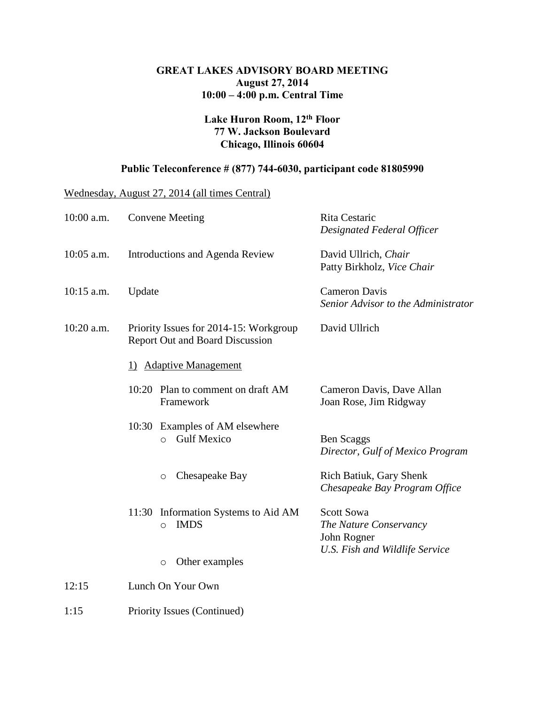## **GREAT LAKES ADVISORY BOARD MEETING August 27, 2014 10:00 – 4:00 p.m. Central Time**

## **Lake Huron Room, 12th Floor 77 W. Jackson Boulevard Chicago, Illinois 60604**

## **Public Teleconference # (877) 744-6030, participant code 81805990**

Wednesday, August 27, 2014 (all times Central)

| 10:00 a.m.   | <b>Convene Meeting</b>                                                           | Rita Cestaric<br>Designated Federal Officer                                                  |  |  |
|--------------|----------------------------------------------------------------------------------|----------------------------------------------------------------------------------------------|--|--|
| 10:05 a.m.   | Introductions and Agenda Review                                                  | David Ullrich, Chair<br>Patty Birkholz, Vice Chair                                           |  |  |
| $10:15$ a.m. | Update                                                                           | <b>Cameron Davis</b><br>Senior Advisor to the Administrator                                  |  |  |
| 10:20 a.m.   | Priority Issues for 2014-15: Workgroup<br><b>Report Out and Board Discussion</b> | David Ullrich                                                                                |  |  |
|              | 1) Adaptive Management                                                           |                                                                                              |  |  |
|              | 10:20 Plan to comment on draft AM<br>Framework                                   | Cameron Davis, Dave Allan<br>Joan Rose, Jim Ridgway                                          |  |  |
|              | 10:30 Examples of AM elsewhere<br><b>Gulf Mexico</b><br>$\circ$                  | Ben Scaggs<br>Director, Gulf of Mexico Program                                               |  |  |
|              | Chesapeake Bay<br>$\circ$                                                        | Rich Batiuk, Gary Shenk<br>Chesapeake Bay Program Office                                     |  |  |
|              | Information Systems to Aid AM<br>11:30<br><b>IMDS</b><br>$\circ$                 | <b>Scott Sowa</b><br>The Nature Conservancy<br>John Rogner<br>U.S. Fish and Wildlife Service |  |  |
|              | Other examples<br>$\circ$                                                        |                                                                                              |  |  |
| 12:15        | Lunch On Your Own                                                                |                                                                                              |  |  |

1:15 Priority Issues (Continued)